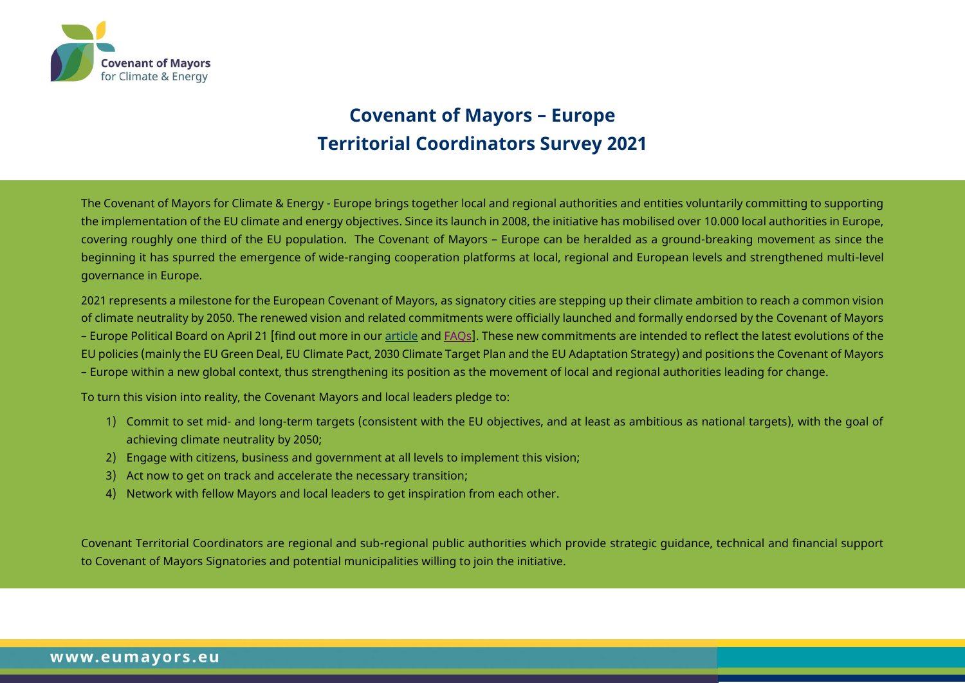

# **Covenant of Mayors – Europe Territorial Coordinators Survey 2021**

The Covenant of Mayors for Climate & Energy - Europe brings together local and regional authorities and entities voluntarily committing to supporting the implementation of the EU climate and energy objectives. Since its launch in 2008, the initiative has mobilised over 10.000 local authorities in Europe, covering roughly one third of the EU population. The Covenant of Mayors – Europe can be heralded as a ground-breaking movement as since the beginning it has spurred the emergence of wide-ranging cooperation platforms at local, regional and European levels and strengthened multi-level governance in Europe.

2021 represents a milestone for the European Covenant of Mayors, as signatory cities are stepping up their climate ambition to reach a common vision of climate neutrality by 2050. The renewed vision and related commitments were officially launched and formally endorsed by the Covenant of Mayors – Europe Political Board on April 21 [find out more in our [article](https://www.eumayors.eu/news-and-events/news/1856-european-mayors-take-joint-action-for-a-fairer,-climate-neutral-europe.html) and FAOs]. These new commitments are intended to reflect the latest evolutions of the EU policies (mainly the EU Green Deal, EU Climate Pact, 2030 Climate Target Plan and the EU Adaptation Strategy) and positions the Covenant of Mayors – Europe within a new global context, thus strengthening its position as the movement of local and regional authorities leading for change.

To turn this vision into reality, the Covenant Mayors and local leaders pledge to:

- 1) Commit to set mid- and long-term targets (consistent with the EU objectives, and at least as ambitious as national targets), with the goal of achieving climate neutrality by 2050;
- 2) Engage with citizens, business and government at all levels to implement this vision;
- 3) Act now to get on track and accelerate the necessary transition;
- 4) Network with fellow Mayors and local leaders to get inspiration from each other.

Covenant Territorial Coordinators are regional and sub-regional public authorities which provide strategic guidance, technical and financial support to Covenant of Mayors Signatories and potential municipalities willing to join the initiative.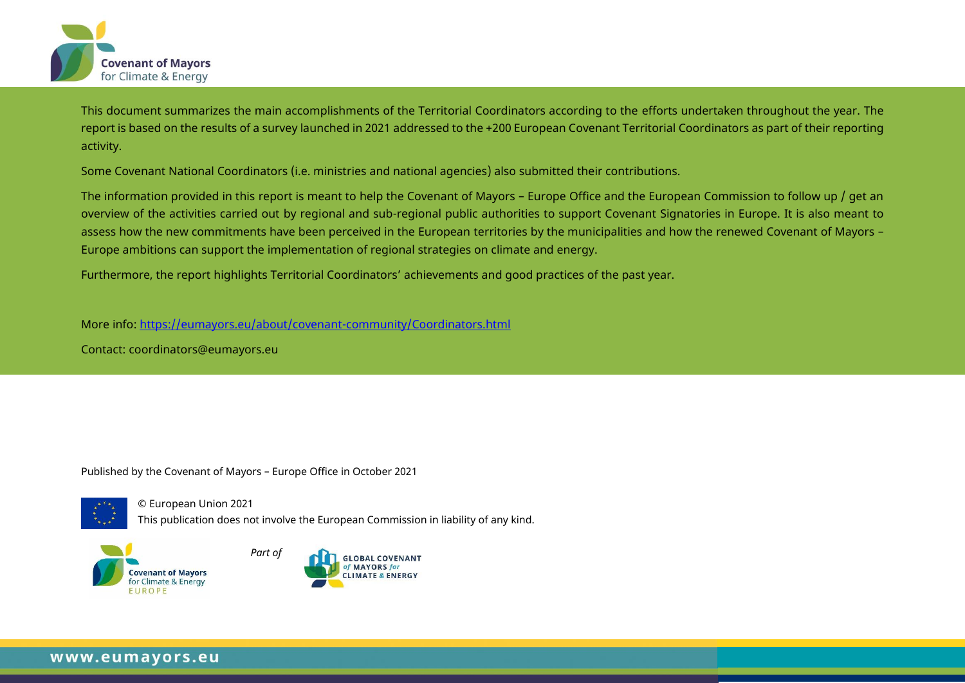

This document summarizes the main accomplishments of the Territorial Coordinators according to the efforts undertaken throughout the year. The report is based on the results of a survey launched in 2021 addressed to the +200 European Covenant Territorial Coordinators as part of their reporting activity.

Some Covenant National Coordinators (i.e. ministries and national agencies) also submitted their contributions.

The information provided in this report is meant to help the Covenant of Mayors – Europe Office and the European Commission to follow up / get an overview of the activities carried out by regional and sub-regional public authorities to support Covenant Signatories in Europe. It is also meant to assess how the new commitments have been perceived in the European territories by the municipalities and how the renewed Covenant of Mayors – Europe ambitions can support the implementation of regional strategies on climate and energy.

Furthermore, the report highlights Territorial Coordinators' achievements and good practices of the past year.

More info:<https://eumayors.eu/about/covenant-community/Coordinators.html>

Contact: [coordinators@eumayors.eu](mailto:coordinators@eumayors.eu)

Published by the Covenant of Mayors – Europe Office in October 2021



© European Union 2021 This publication does not involve the European Commission in liability of any kind.



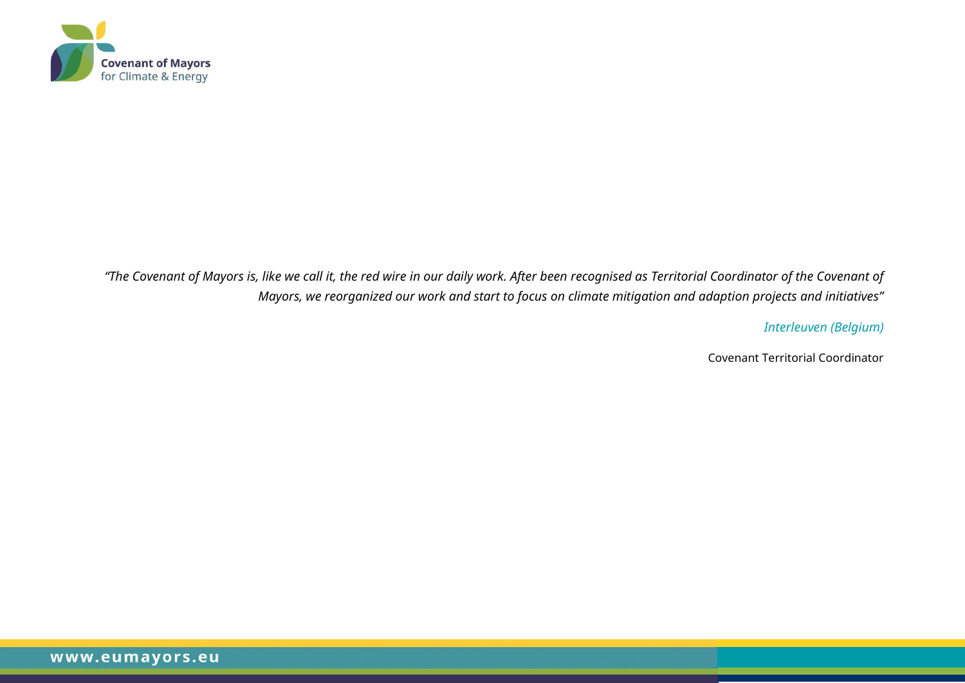

*"The Covenant of Mayors is, like we call it, the red wire in our daily work. After been recognised as Territorial Coordinator of the Covenant of Mayors, we reorganized our work and start to focus on climate mitigation and adaption projects and initiatives"*

*Interleuven (Belgium)*

Covenant Territorial Coordinator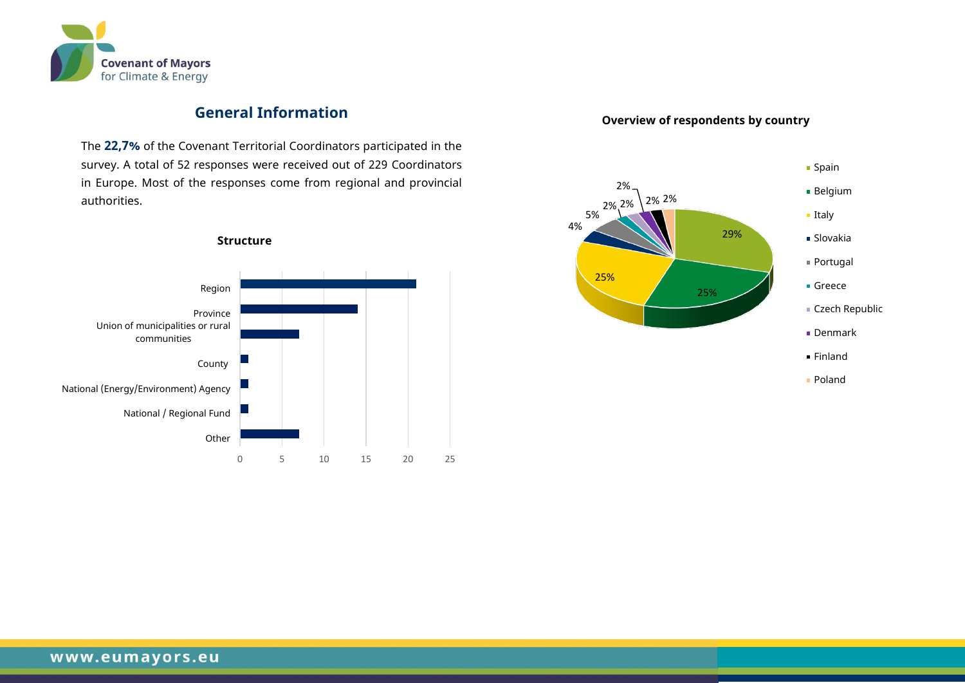

## **General Information**

The **22,7%** of the Covenant Territorial Coordinators participated in the survey. A total of 52 responses were received out of 229 Coordinators in Europe. Most of the responses come from regional and provincial authorities.



## **Overview of respondents by country**

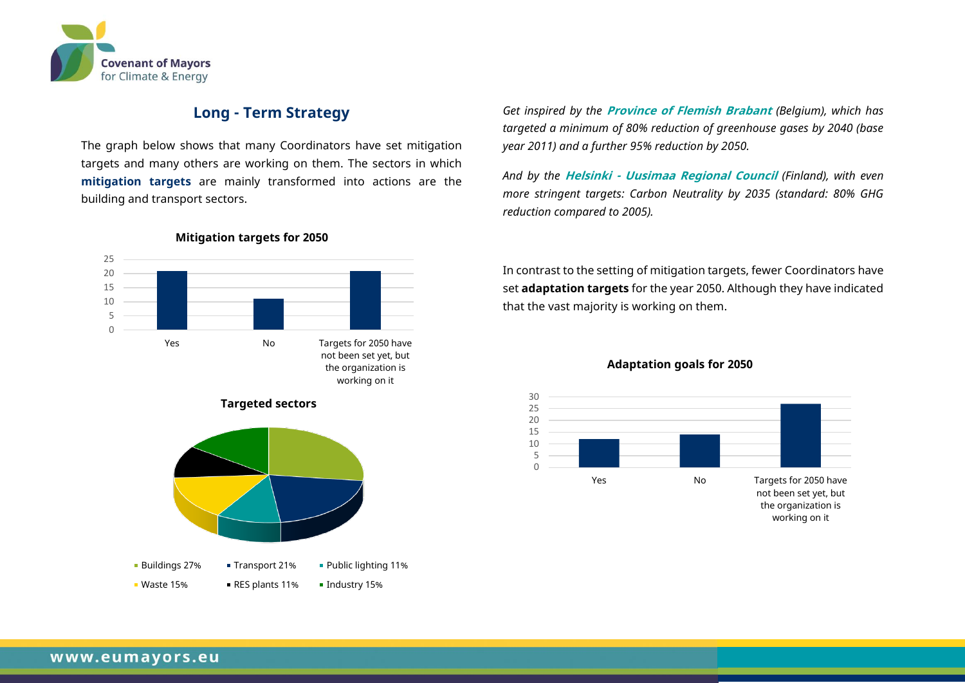

## **Long - Term Strategy**

The graph below shows that many Coordinators have set mitigation targets and many others are working on them. The sectors in which **mitigation targets** are mainly transformed into actions are the building and transport sectors.



**Mitigation targets for 2050**





*Get inspired by the* **Province of Flemish Brabant** *(Belgium), which has targeted a minimum of 80% reduction of greenhouse gases by 2040 (base year 2011) and a further 95% reduction by 2050.*

*And by the* **Helsinki - Uusimaa Regional Council** *(Finland), with even more stringent targets: Carbon Neutrality by 2035 (standard: 80% GHG reduction compared to 2005).*

In contrast to the setting of mitigation targets, fewer Coordinators have set **adaptation targets** for the year 2050. Although they have indicated that the vast majority is working on them.



#### **Adaptation goals for 2050**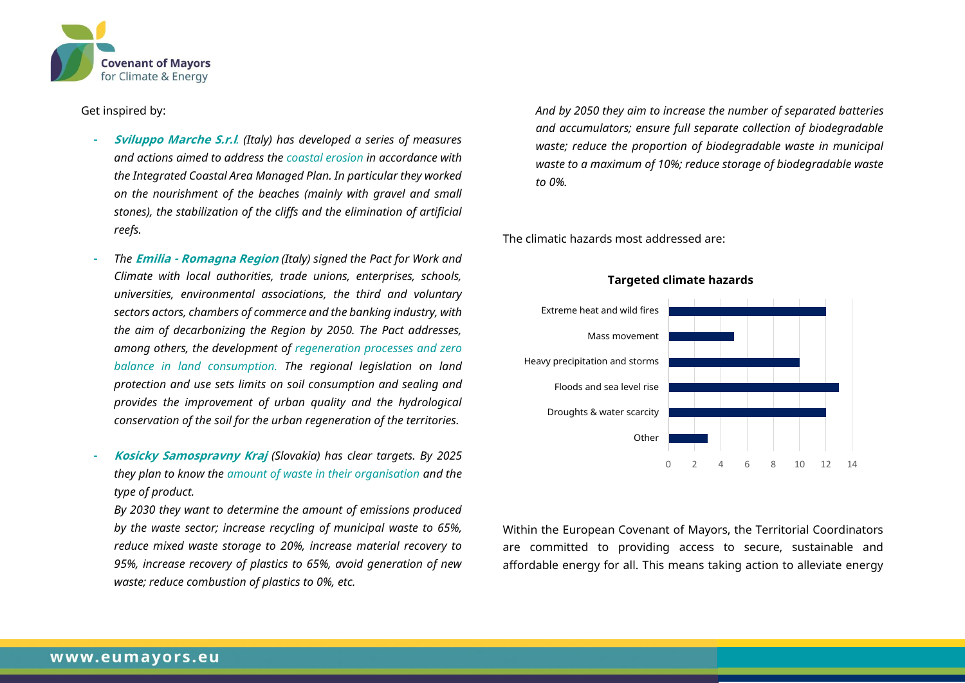

#### Get inspired by:

- **- Sviluppo Marche S.r.l***. (Italy) has developed a series of measures and actions aimed to address the coastal erosion in accordance with the Integrated Coastal Area Managed Plan. In particular they worked on the nourishment of the beaches (mainly with gravel and small stones), the stabilization of the cliffs and the elimination of artificial reefs.*
- **-** *The* **Emilia - Romagna Region** *(Italy) signed the Pact for Work and Climate with local authorities, trade unions, enterprises, schools, universities, environmental associations, the third and voluntary sectors actors, chambers of commerce and the banking industry, with the aim of decarbonizing the Region by 2050. The Pact addresses, among others, the development of regeneration processes and zero balance in land consumption. The regional legislation on land protection and use sets limits on soil consumption and sealing and provides the improvement of urban quality and the hydrological conservation of the soil for the urban regeneration of the territories.*
- **- Kosicky Samospravny Kraj** *(Slovakia) has clear targets. By 2025 they plan to know the amount of waste in their organisation and the type of product.*

*By 2030 they want to determine the amount of emissions produced by the waste sector; increase recycling of municipal waste to 65%, reduce mixed waste storage to 20%, increase material recovery to 95%, increase recovery of plastics to 65%, avoid generation of new waste; reduce combustion of plastics to 0%, etc.*

*And by 2050 they aim to increase the number of separated batteries and accumulators; ensure full separate collection of biodegradable waste; reduce the proportion of biodegradable waste in municipal waste to a maximum of 10%; reduce storage of biodegradable waste to 0%.*

The climatic hazards most addressed are:



#### **Targeted climate hazards**

Within the European Covenant of Mayors, the Territorial Coordinators are committed to providing access to secure, sustainable and affordable energy for all. This means taking action to alleviate energy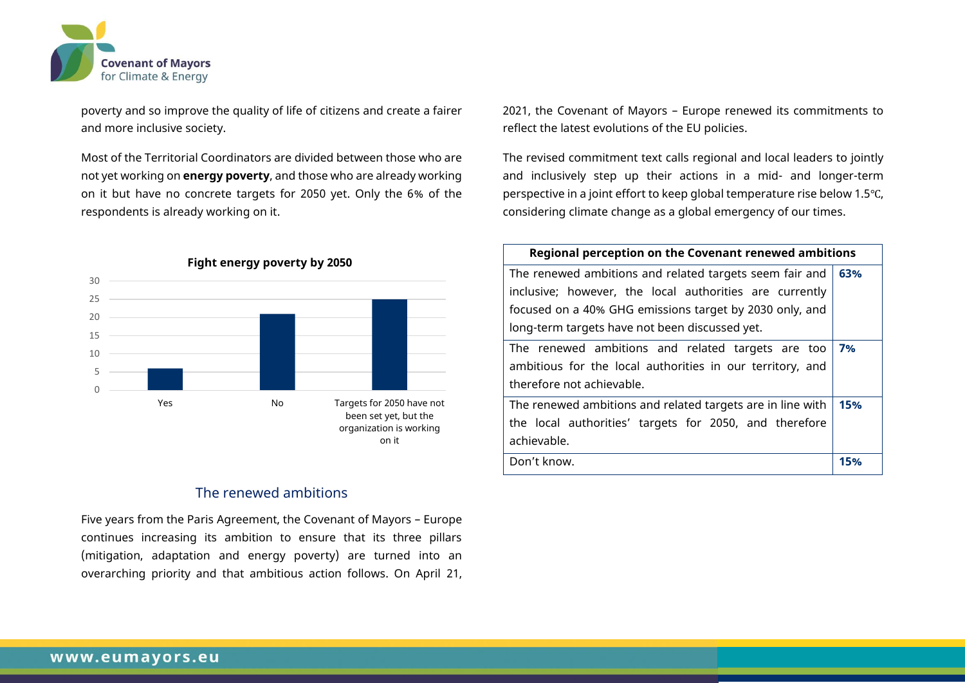

poverty and so improve the quality of life of citizens and create a fairer and more inclusive society.

Most of the Territorial Coordinators are divided between those who are not yet working on **energy poverty**, and those who are already working on it but have no concrete targets for 2050 yet. Only the 6% of the respondents is already working on it.



#### The renewed ambitions

Five years from the Paris Agreement, the Covenant of Mayors – Europe continues increasing its ambition to ensure that its three pillars (mitigation, adaptation and energy poverty) are turned into an overarching priority and that ambitious action follows. On April 21, 2021, the Covenant of Mayors – Europe renewed its commitments to reflect the latest evolutions of the EU policies.

The revised commitment text calls regional and local leaders to jointly and inclusively step up their actions in a mid- and longer-term perspective in a joint effort to keep global temperature rise below 1.5℃, considering climate change as a global emergency of our times.

| Regional perception on the Covenant renewed ambitions      |     |
|------------------------------------------------------------|-----|
| The renewed ambitions and related targets seem fair and    | 63% |
| inclusive; however, the local authorities are currently    |     |
| focused on a 40% GHG emissions target by 2030 only, and    |     |
| long-term targets have not been discussed yet.             |     |
| The renewed ambitions and related targets are too          | 7%  |
| ambitious for the local authorities in our territory, and  |     |
| therefore not achievable.                                  |     |
| The renewed ambitions and related targets are in line with | 15% |
| the local authorities' targets for 2050, and therefore     |     |
| achievable.                                                |     |
| Don't know.                                                | 15% |
|                                                            |     |

#### **Fight energy poverty by 2050**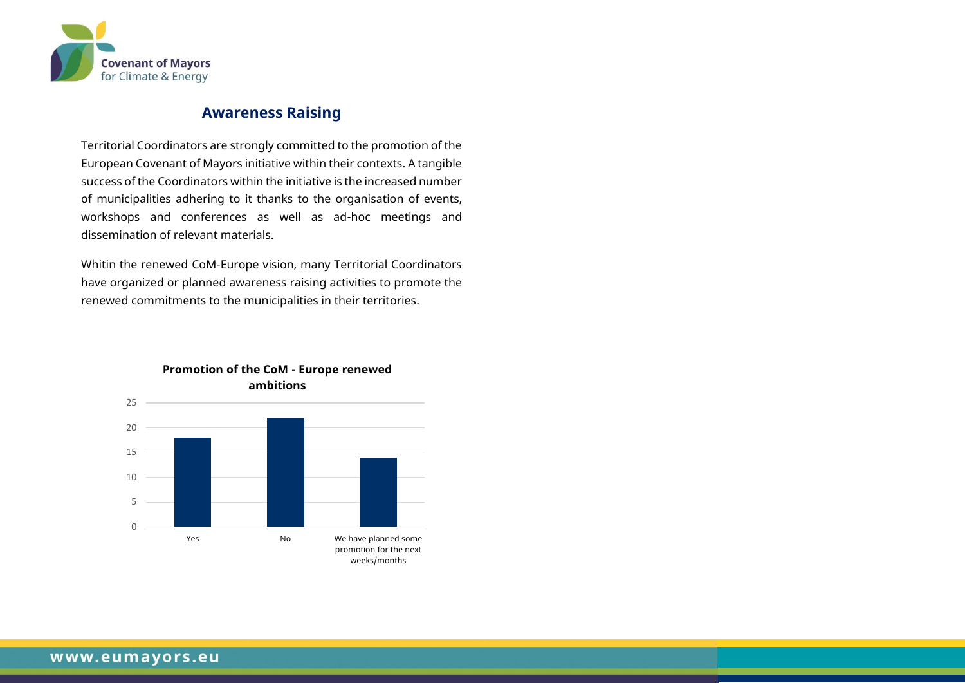

## **Awareness Raising**

Territorial Coordinators are strongly committed to the promotion of the European Covenant of Mayors initiative within their contexts. A tangible success of the Coordinators within the initiative is the increased number of municipalities adhering to it thanks to the organisation of events, workshops and conferences as well as ad-hoc meetings and dissemination of relevant materials.

Whitin the renewed CoM-Europe vision, many Territorial Coordinators have organized or planned awareness raising activities to promote the renewed commitments to the municipalities in their territories.



## **Promotion of the CoM - Europe renewed ambitions**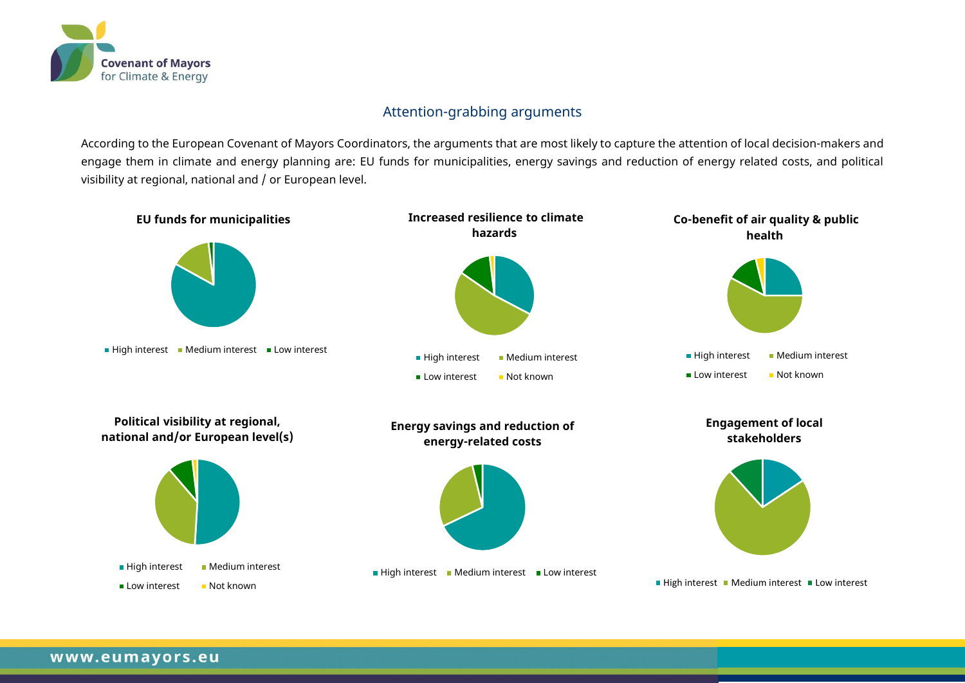

## Attention-grabbing arguments

According to the European Covenant of Mayors Coordinators, the arguments that are most likely to capture the attention of local decision-makers and engage them in climate and energy planning are: EU funds for municipalities, energy savings and reduction of energy related costs, and political visibility at regional, national and / or European level.

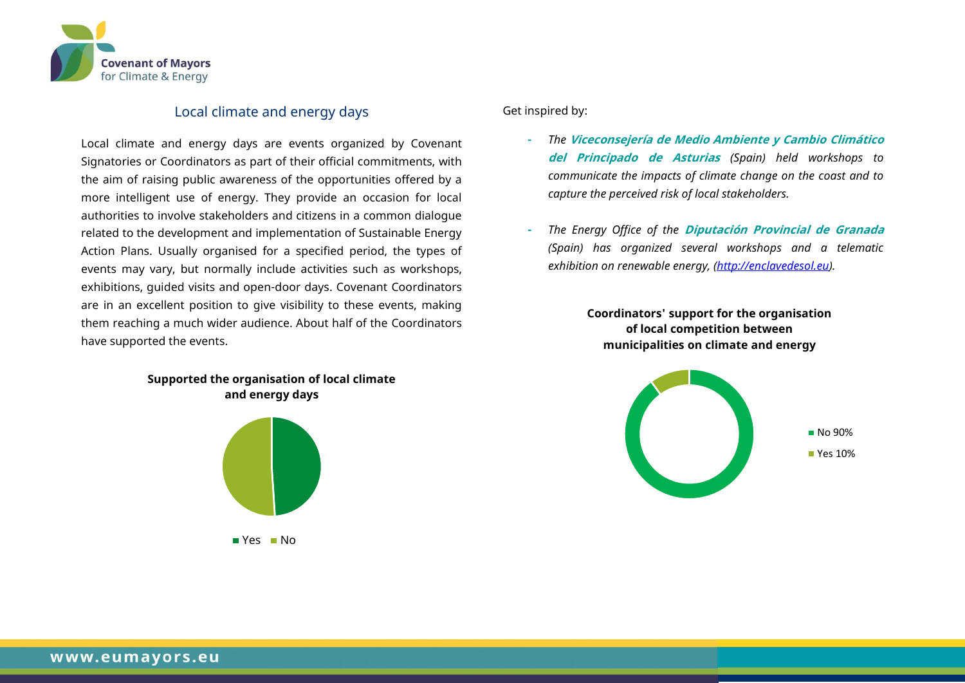

#### Local climate and energy days

Local climate and energy days are events organized by Covenant Signatories or Coordinators as part of their official commitments, with the aim of raising public awareness of the opportunities offered by a more intelligent use of energy. They provide an occasion for local authorities to involve stakeholders and citizens in a common dialogue related to the development and implementation of Sustainable Energy Action Plans. Usually organised for a specified period, the types of events may vary, but normally include activities such as workshops, exhibitions, guided visits and open-door days. Covenant Coordinators are in an excellent position to give visibility to these events, making them reaching a much wider audience. About half of the Coordinators have supported the events.

> **Supported the organisation of local climate and energy days**



Get inspired by:

- **-** *The* **Viceconsejería de Medio Ambiente y Cambio Climático del Principado de Asturias** *(Spain) held workshops to communicate the impacts of climate change on the coast and to capture the perceived risk of local stakeholders.*
- **-** *The Energy Office of the* **Diputación Provincial de Granada** *(Spain) has organized several workshops and a telematic exhibition on renewable energy, [\(http://enclavedesol.eu\)](http://enclavedesol.eu/).*

**Coordinators' support for the organisation of local competition between municipalities on climate and energy**

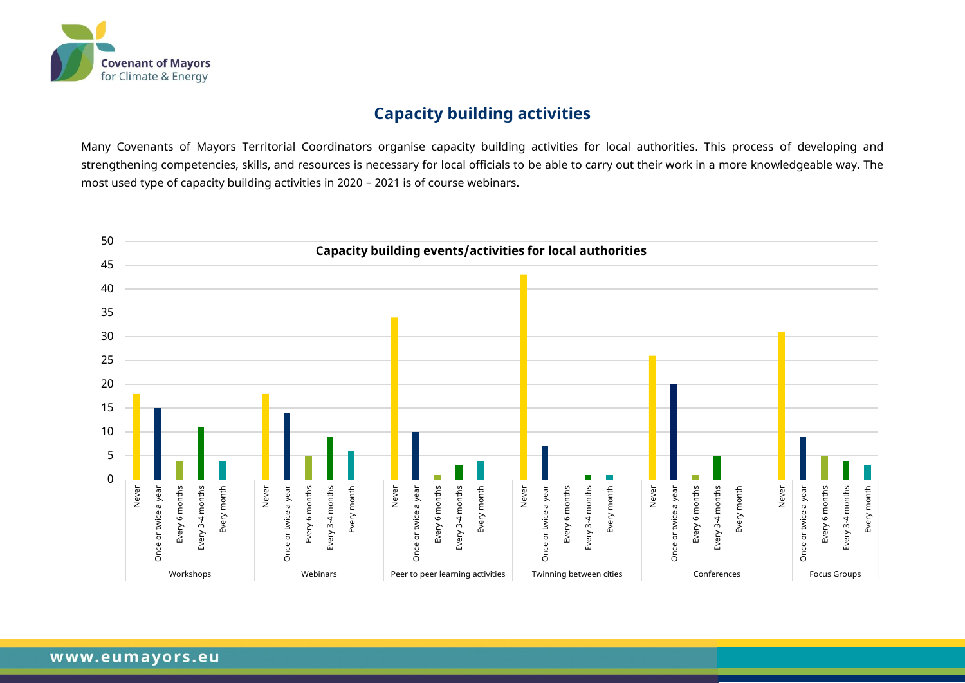

## **Capacity building activities**

Many Covenants of Mayors Territorial Coordinators organise capacity building activities for local authorities. This process of developing and strengthening competencies, skills, and resources is necessary for local officials to be able to carry out their work in a more knowledgeable way. The most used type of capacity building activities in 2020 – 2021 is of course webinars.

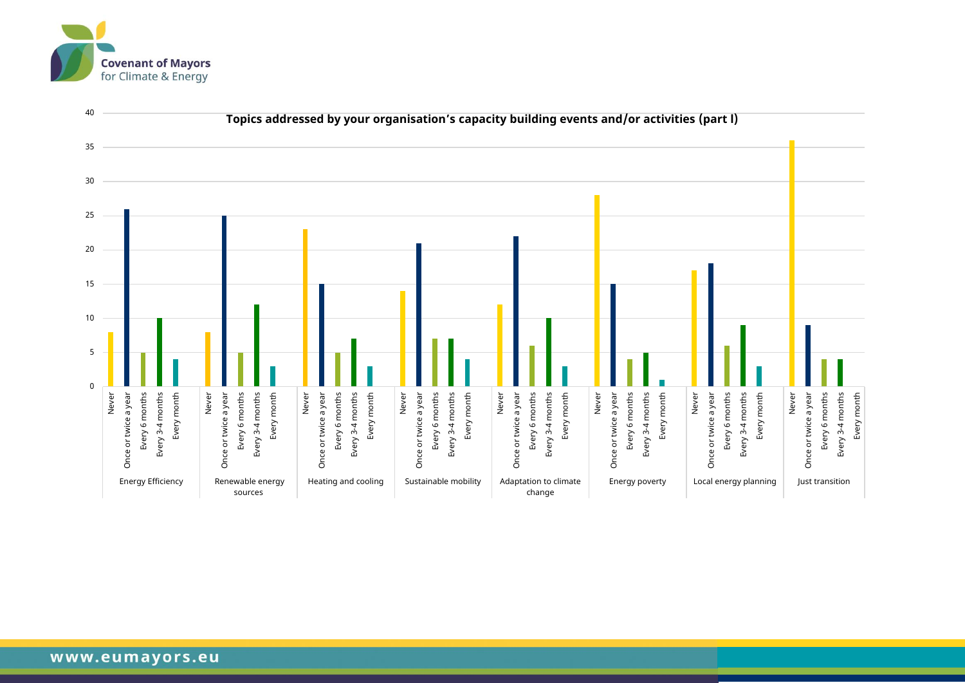

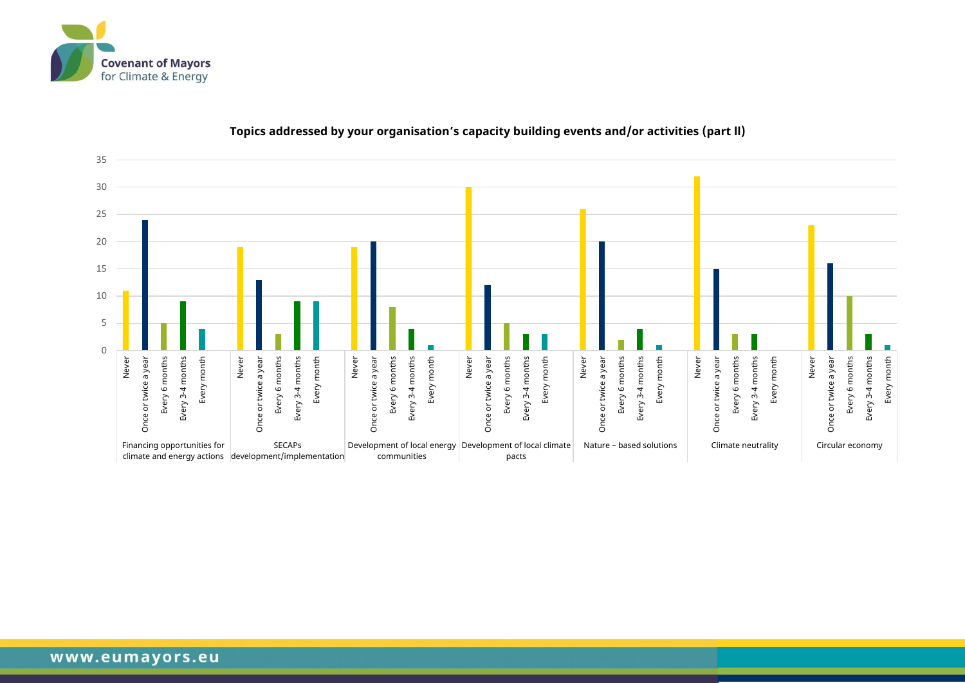



#### **Topics addressed by your organisation's capacity building events and/or activities (part ll)**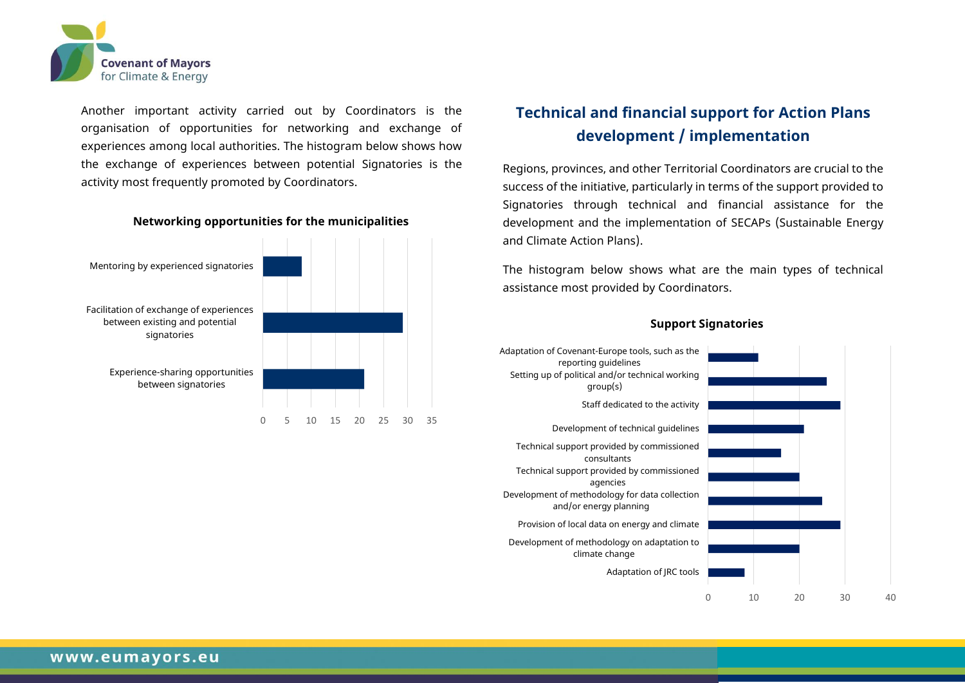

Another important activity carried out by Coordinators is the organisation of opportunities for networking and exchange of experiences among local authorities. The histogram below shows how the exchange of experiences between potential Signatories is the activity most frequently promoted by Coordinators.

#### **Networking opportunities for the municipalities**



## **Technical and financial support for Action Plans development / implementation**

Regions, provinces, and other Territorial Coordinators are crucial to the success of the initiative, particularly in terms of the support provided to Signatories through technical and financial assistance for the development and the implementation of SECAPs (Sustainable Energy and Climate Action Plans).

The histogram below shows what are the main types of technical assistance most provided by Coordinators.



#### **Support Signatories**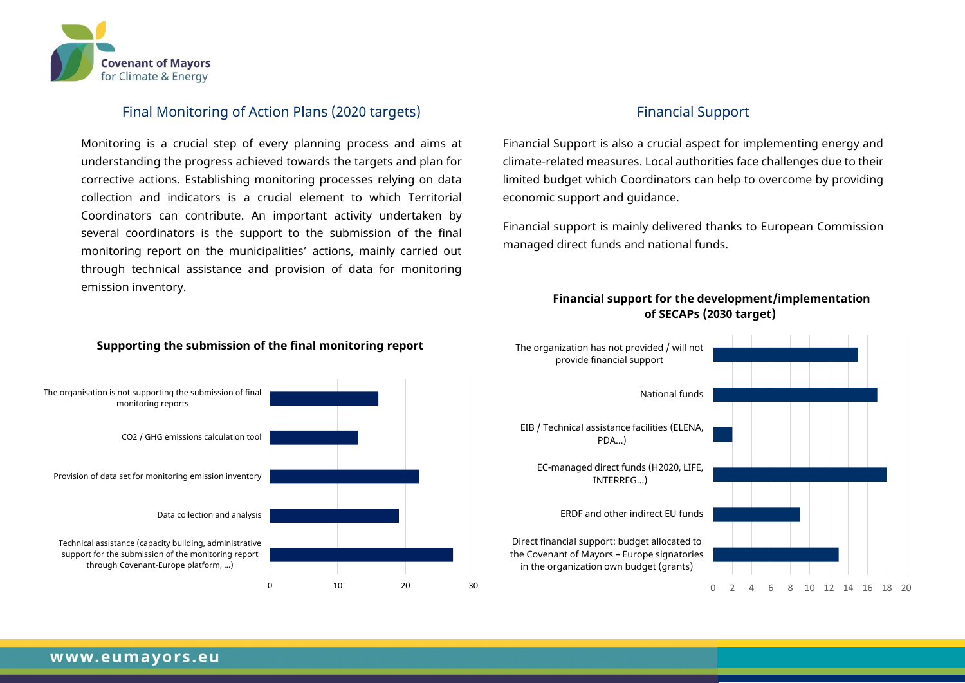

### Final Monitoring of Action Plans (2020 targets)

Monitoring is a crucial step of every planning process and aims at understanding the progress achieved towards the targets and plan for corrective actions. Establishing monitoring processes relying on data collection and indicators is a crucial element to which Territorial Coordinators can contribute. An important activity undertaken by several coordinators is the support to the submission of the final monitoring report on the municipalities' actions, mainly carried out through technical assistance and provision of data for monitoring emission inventory.

#### **Supporting the submission of the final monitoring report**



#### Financial Support

Financial Support is also a crucial aspect for implementing energy and climate-related measures. Local authorities face challenges due to their limited budget which Coordinators can help to overcome by providing economic support and guidance.

Financial support is mainly delivered thanks to European Commission managed direct funds and national funds.

#### **Financial support for the development/implementation of SECAPs (2030 target)**

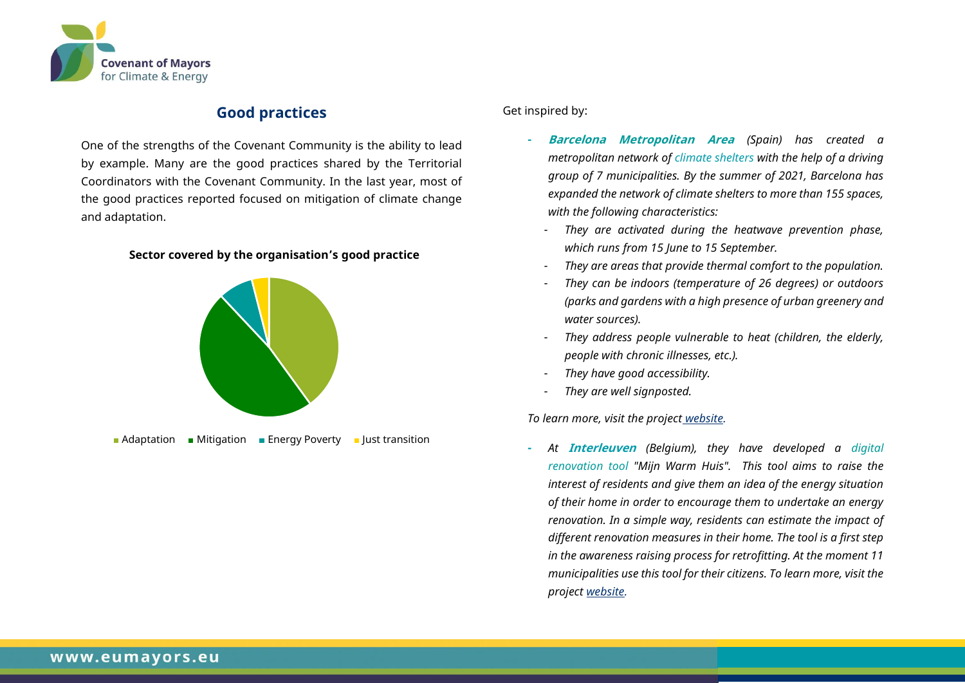

## **Good practices**

One of the strengths of the Covenant Community is the ability to lead by example. Many are the good practices shared by the Territorial Coordinators with the Covenant Community. In the last year, most of the good practices reported focused on mitigation of climate change and adaptation.

#### **Sector covered by the organisation's good practice**



Get inspired by:

- **- Barcelona Metropolitan Area** *(Spain) has created a metropolitan network of climate shelters with the help of a driving group of 7 municipalities. By the summer of 2021, Barcelona has expanded the network of climate shelters to more than 155 spaces, with the following characteristics:* 
	- *They are activated during the heatwave prevention phase, which runs from 15 June to 15 September.*
	- *They are areas that provide thermal comfort to the population.*
	- *They can be indoors (temperature of 26 degrees) or outdoors (parks and gardens with a high presence of urban greenery and water sources).*
	- *They address people vulnerable to heat (children, the elderly, people with chronic illnesses, etc.).*
	- *They have good accessibility.*
	- *They are well signposted.*

*To learn more, visit the project [website.](https://www.uia-initiative.eu/en/news/barcelonas-climate-shelters-project-challenge-communicating-unwelcome-messages-climate-change)*

**-** *At* **Interleuven** *(Belgium), they have developed a digital renovation tool "Mijn Warm Huis". This tool aims to raise the interest of residents and give them an idea of the energy situation of their home in order to encourage them to undertake an energy renovation. In a simple way, residents can estimate the impact of different renovation measures in their home. The tool is a first step in the awareness raising process for retrofitting. At the moment 11 municipalities use this tool for their citizens. To learn more, visit the project [website.](https://www.interleuven.be/index.php?option=com_content&view=article&id=401:mijn-warm-huis-digitaal-renovatieadvies&catid=43&Itemid=241)*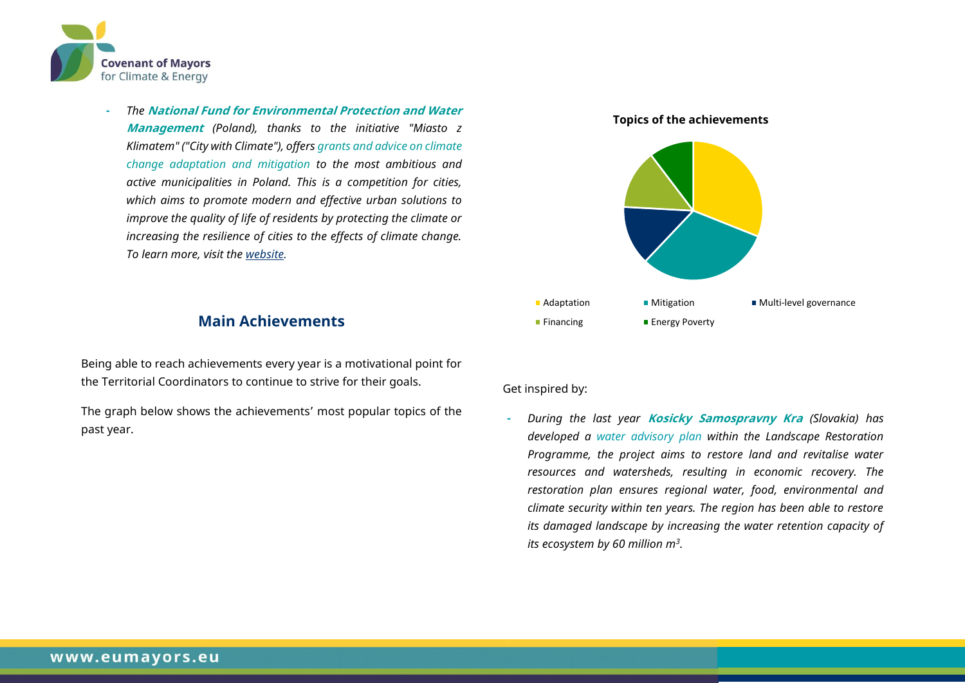

**-** *The* **National Fund for Environmental Protection and Water Management** *(Poland), thanks to the initiative "Miasto z Klimatem" ("City with Climate"), offers grants and advice on climate change adaptation and mitigation to the most ambitious and active municipalities in Poland. This is a competition for cities, which aims to promote modern and effective urban solutions to improve the quality of life of residents by protecting the climate or increasing the resilience of cities to the effects of climate change. To learn more, visit the [website.](https://www.gov.pl/web/klimat/konkursy)* 

## **Main Achievements**

Being able to reach achievements every year is a motivational point for the Territorial Coordinators to continue to strive for their goals.

The graph below shows the achievements' most popular topics of the past year.



#### Get inspired by:

**-** *During the last year* **Kosicky Samospravny Kra** *(Slovakia) has developed a water advisory plan within the Landscape Restoration Programme, the project aims to restore land and revitalise water resources and watersheds, resulting in economic recovery. The restoration plan ensures regional water, food, environmental and climate security within ten years. The region has been able to restore its damaged landscape by increasing the water retention capacity of its ecosystem by 60 million m<sup>3</sup> .*